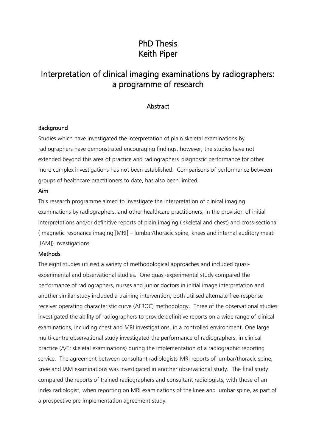# PhD Thesis Keith Piper

# Interpretation of clinical imaging examinations by radiographers: a programme of research

## Abstract

#### **Background**

Studies which have investigated the interpretation of plain skeletal examinations by radiographers have demonstrated encouraging findings, however, the studies have not extended beyond this area of practice and radiographers' diagnostic performance for other more complex investigations has not been established. Comparisons of performance between groups of healthcare practitioners to date, has also been limited.

#### Aim

This research programme aimed to investigate the interpretation of clinical imaging examinations by radiographers, and other healthcare practitioners, in the provision of initial interpretations and/or definitive reports of plain imaging ( skeletal and chest) and cross-sectional ( magnetic resonance imaging [MRI] – lumbar/thoracic spine, knees and internal auditory meati [IAM]) investigations.

### **Methods**

The eight studies utilised a variety of methodological approaches and included quasiexperimental and observational studies. One quasi-experimental study compared the performance of radiographers, nurses and junior doctors in initial image interpretation and another similar study included a training intervention; both utilised alternate free-response receiver operating characteristic curve (AFROC) methodology. Three of the observational studies investigated the ability of radiographers to provide definitive reports on a wide range of clinical examinations, including chest and MRI investigations, in a controlled environment. One large multi-centre observational study investigated the performance of radiographers, in clinical practice (A/E: skeletal examinations) during the implementation of a radiographic reporting service. The agreement between consultant radiologists' MRI reports of lumbar/thoracic spine, knee and IAM examinations was investigated in another observational study. The final study compared the reports of trained radiographers and consultant radiologists, with those of an index radiologist, when reporting on MRI examinations of the knee and lumbar spine, as part of a prospective pre-implementation agreement study.